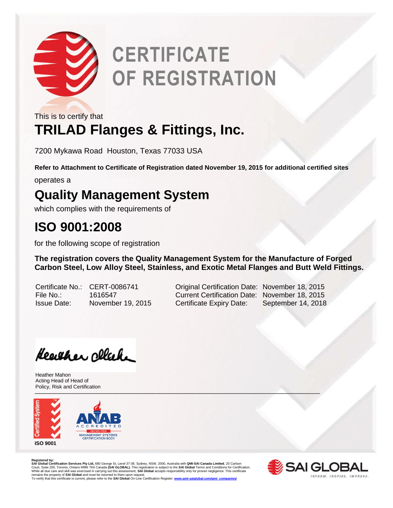

# **CERTIFICATE OF REGISTRATION**

This is to certify that

### **TRILAD Flanges & Fittings, Inc.**

7200 Mykawa Road Houston, Texas 77033 USA

**Refer to Attachment to Certificate of Registration dated November 19, 2015 for additional certified sites**

operates a

#### **Quality Management System**

which complies with the requirements of

#### **ISO 9001:2008**

for the following scope of registration

**The registration covers the Quality Management System for the Manufacture of Forged Carbon Steel, Low Alloy Steel, Stainless, and Exotic Metal Flanges and Butt Weld Fittings.** 

Certificate No.: CERT-0086741 Original Certification Date: November 18, 2015 File No.: 1616547 Current Certification Date: November 18, 2015 Issue Date: November 19, 2015 Certificate Expiry Date: September 14, 2018

Heather Ollah

\_\_\_\_\_\_\_\_\_\_\_\_\_\_\_\_\_\_\_\_\_\_\_\_\_\_\_\_\_\_\_\_\_\_\_\_\_\_\_\_\_\_\_\_\_\_\_\_\_\_\_\_\_\_\_\_\_\_\_\_\_\_\_\_\_\_\_\_\_\_\_\_\_\_\_\_\_\_\_\_ Heather Mahon Acting Head of Head of Policy, Risk and Certification



**Registered by:**<br>SAI Global Certification Services Pty Ltd, 680 George St, Level 37-38, Sydney, NSW, 2000, Australia with QMI-SAI Canada Limited, 20 Carlson<br>Court, Suite 200, Toronto, Ontario M9W 7K6 Canada (SAI GLOBAL). T remains the property of **SAI Global** and must be returned to them upon request.<br>To verify that this certificate is current, please refer to the **SAI Global** On-Line Certification Register: <u>www.qmi-saiqlobal.com/qmi\_compan</u>